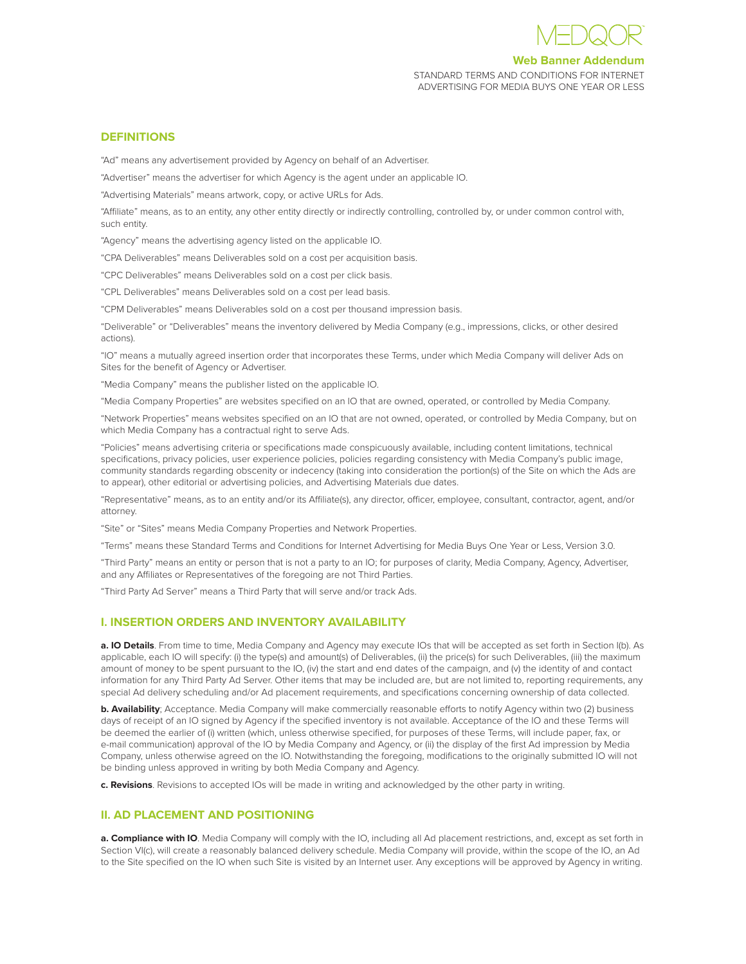

### **Web Banner Addendum**

STANDARD TERMS AND CONDITIONS FOR INTERNET ADVERTISING FOR MEDIA BUYS ONE YEAR OR LESS

#### **DEFINITIONS**

"Ad" means any advertisement provided by Agency on behalf of an Advertiser.

"Advertiser" means the advertiser for which Agency is the agent under an applicable IO.

"Advertising Materials" means artwork, copy, or active URLs for Ads.

"Affiliate" means, as to an entity, any other entity directly or indirectly controlling, controlled by, or under common control with, such entity.

"Agency" means the advertising agency listed on the applicable IO.

"CPA Deliverables" means Deliverables sold on a cost per acquisition basis.

"CPC Deliverables" means Deliverables sold on a cost per click basis.

"CPL Deliverables" means Deliverables sold on a cost per lead basis.

"CPM Deliverables" means Deliverables sold on a cost per thousand impression basis.

"Deliverable" or "Deliverables" means the inventory delivered by Media Company (e.g., impressions, clicks, or other desired actions).

"IO" means a mutually agreed insertion order that incorporates these Terms, under which Media Company will deliver Ads on Sites for the benefit of Agency or Advertiser.

"Media Company" means the publisher listed on the applicable IO.

"Media Company Properties" are websites specified on an IO that are owned, operated, or controlled by Media Company.

"Network Properties" means websites specified on an IO that are not owned, operated, or controlled by Media Company, but on which Media Company has a contractual right to serve Ads.

"Policies" means advertising criteria or specifications made conspicuously available, including content limitations, technical specifications, privacy policies, user experience policies, policies regarding consistency with Media Company's public image, community standards regarding obscenity or indecency (taking into consideration the portion(s) of the Site on which the Ads are to appear), other editorial or advertising policies, and Advertising Materials due dates.

"Representative" means, as to an entity and/or its Affiliate(s), any director, officer, employee, consultant, contractor, agent, and/or attorney.

"Site" or "Sites" means Media Company Properties and Network Properties.

"Terms" means these Standard Terms and Conditions for Internet Advertising for Media Buys One Year or Less, Version 3.0.

"Third Party" means an entity or person that is not a party to an IO; for purposes of clarity, Media Company, Agency, Advertiser, and any Affiliates or Representatives of the foregoing are not Third Parties.

"Third Party Ad Server" means a Third Party that will serve and/or track Ads.

# **I. INSERTION ORDERS AND INVENTORY AVAILABILITY**

**a. IO Details**. From time to time, Media Company and Agency may execute IOs that will be accepted as set forth in Section I(b). As applicable, each IO will specify: (i) the type(s) and amount(s) of Deliverables, (ii) the price(s) for such Deliverables, (iii) the maximum amount of money to be spent pursuant to the IO, (iv) the start and end dates of the campaign, and (v) the identity of and contact information for any Third Party Ad Server. Other items that may be included are, but are not limited to, reporting requirements, any special Ad delivery scheduling and/or Ad placement requirements, and specifications concerning ownership of data collected.

**b. Availability**; Acceptance. Media Company will make commercially reasonable efforts to notify Agency within two (2) business days of receipt of an IO signed by Agency if the specified inventory is not available. Acceptance of the IO and these Terms will be deemed the earlier of (i) written (which, unless otherwise specified, for purposes of these Terms, will include paper, fax, or e-mail communication) approval of the IO by Media Company and Agency, or (ii) the display of the first Ad impression by Media Company, unless otherwise agreed on the IO. Notwithstanding the foregoing, modifications to the originally submitted IO will not be binding unless approved in writing by both Media Company and Agency.

**c. Revisions**. Revisions to accepted IOs will be made in writing and acknowledged by the other party in writing.

## **II. AD PLACEMENT AND POSITIONING**

a. Compliance with IO. Media Company will comply with the IO, including all Ad placement restrictions, and, except as set forth in Section VI(c), will create a reasonably balanced delivery schedule. Media Company will provide, within the scope of the IO, an Ad to the Site specified on the IO when such Site is visited by an Internet user. Any exceptions will be approved by Agency in writing.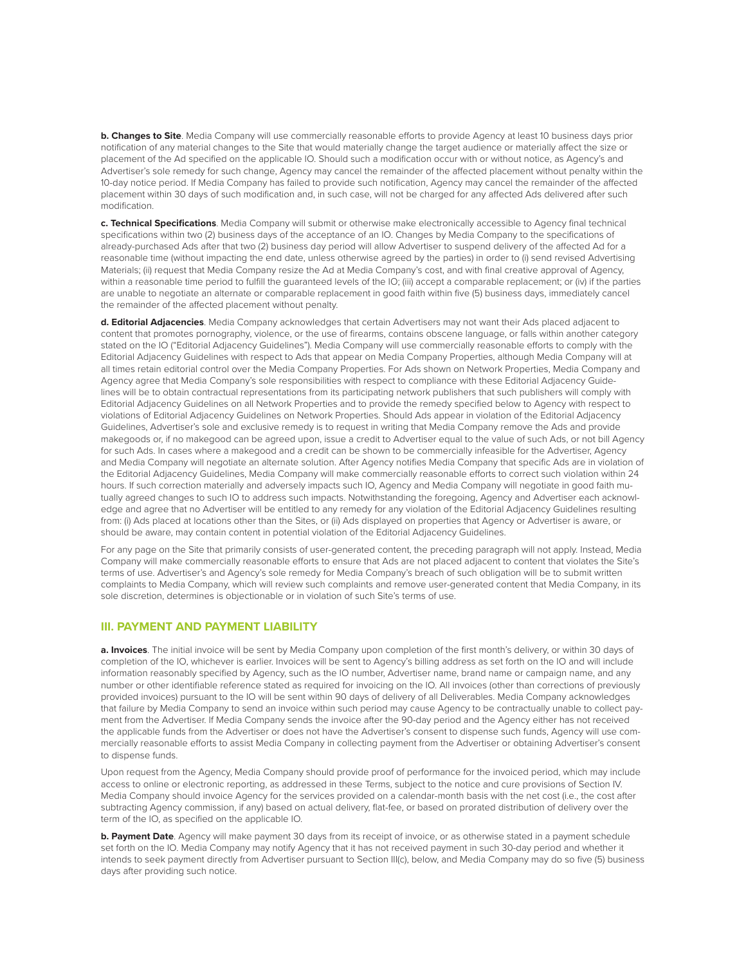**b. Changes to Site**. Media Company will use commercially reasonable efforts to provide Agency at least 10 business days prior notification of any material changes to the Site that would materially change the target audience or materially affect the size or placement of the Ad specified on the applicable IO. Should such a modification occur with or without notice, as Agency's and Advertiser's sole remedy for such change, Agency may cancel the remainder of the affected placement without penalty within the 10-day notice period. If Media Company has failed to provide such notification, Agency may cancel the remainder of the affected placement within 30 days of such modification and, in such case, will not be charged for any affected Ads delivered after such modification.

**c. Technical Specifications**. Media Company will submit or otherwise make electronically accessible to Agency final technical specifications within two (2) business days of the acceptance of an IO. Changes by Media Company to the specifications of already-purchased Ads after that two (2) business day period will allow Advertiser to suspend delivery of the affected Ad for a reasonable time (without impacting the end date, unless otherwise agreed by the parties) in order to (i) send revised Advertising Materials; (ii) request that Media Company resize the Ad at Media Company's cost, and with final creative approval of Agency, within a reasonable time period to fulfill the guaranteed levels of the IO; (iii) accept a comparable replacement; or (iv) if the parties are unable to negotiate an alternate or comparable replacement in good faith within five (5) business days, immediately cancel the remainder of the affected placement without penalty.

**d. Editorial Adjacencies**. Media Company acknowledges that certain Advertisers may not want their Ads placed adjacent to content that promotes pornography, violence, or the use of firearms, contains obscene language, or falls within another category stated on the IO ("Editorial Adjacency Guidelines"). Media Company will use commercially reasonable efforts to comply with the Editorial Adjacency Guidelines with respect to Ads that appear on Media Company Properties, although Media Company will at all times retain editorial control over the Media Company Properties. For Ads shown on Network Properties, Media Company and Agency agree that Media Company's sole responsibilities with respect to compliance with these Editorial Adjacency Guidelines will be to obtain contractual representations from its participating network publishers that such publishers will comply with Editorial Adjacency Guidelines on all Network Properties and to provide the remedy specified below to Agency with respect to violations of Editorial Adjacency Guidelines on Network Properties. Should Ads appear in violation of the Editorial Adjacency Guidelines, Advertiser's sole and exclusive remedy is to request in writing that Media Company remove the Ads and provide makegoods or, if no makegood can be agreed upon, issue a credit to Advertiser equal to the value of such Ads, or not bill Agency for such Ads. In cases where a makegood and a credit can be shown to be commercially infeasible for the Advertiser, Agency and Media Company will negotiate an alternate solution. After Agency notifies Media Company that specific Ads are in violation of the Editorial Adjacency Guidelines, Media Company will make commercially reasonable efforts to correct such violation within 24 hours. If such correction materially and adversely impacts such IO, Agency and Media Company will negotiate in good faith mutually agreed changes to such IO to address such impacts. Notwithstanding the foregoing, Agency and Advertiser each acknowledge and agree that no Advertiser will be entitled to any remedy for any violation of the Editorial Adjacency Guidelines resulting from: (i) Ads placed at locations other than the Sites, or (ii) Ads displayed on properties that Agency or Advertiser is aware, or should be aware, may contain content in potential violation of the Editorial Adjacency Guidelines.

For any page on the Site that primarily consists of user-generated content, the preceding paragraph will not apply. Instead, Media Company will make commercially reasonable efforts to ensure that Ads are not placed adjacent to content that violates the Site's terms of use. Advertiser's and Agency's sole remedy for Media Company's breach of such obligation will be to submit written complaints to Media Company, which will review such complaints and remove user-generated content that Media Company, in its sole discretion, determines is objectionable or in violation of such Site's terms of use.

#### **III. PAYMENT AND PAYMENT LIABILITY**

**a. Invoices**. The initial invoice will be sent by Media Company upon completion of the first month's delivery, or within 30 days of completion of the IO, whichever is earlier. Invoices will be sent to Agency's billing address as set forth on the IO and will include information reasonably specified by Agency, such as the IO number, Advertiser name, brand name or campaign name, and any number or other identifiable reference stated as required for invoicing on the IO. All invoices (other than corrections of previously provided invoices) pursuant to the IO will be sent within 90 days of delivery of all Deliverables. Media Company acknowledges that failure by Media Company to send an invoice within such period may cause Agency to be contractually unable to collect payment from the Advertiser. If Media Company sends the invoice after the 90-day period and the Agency either has not received the applicable funds from the Advertiser or does not have the Advertiser's consent to dispense such funds, Agency will use commercially reasonable efforts to assist Media Company in collecting payment from the Advertiser or obtaining Advertiser's consent to dispense funds.

Upon request from the Agency, Media Company should provide proof of performance for the invoiced period, which may include access to online or electronic reporting, as addressed in these Terms, subject to the notice and cure provisions of Section IV. Media Company should invoice Agency for the services provided on a calendar-month basis with the net cost (i.e., the cost after subtracting Agency commission, if any) based on actual delivery, flat-fee, or based on prorated distribution of delivery over the term of the IO, as specified on the applicable IO.

**b. Payment Date**. Agency will make payment 30 days from its receipt of invoice, or as otherwise stated in a payment schedule set forth on the IO. Media Company may notify Agency that it has not received payment in such 30-day period and whether it intends to seek payment directly from Advertiser pursuant to Section III(c), below, and Media Company may do so five (5) business days after providing such notice.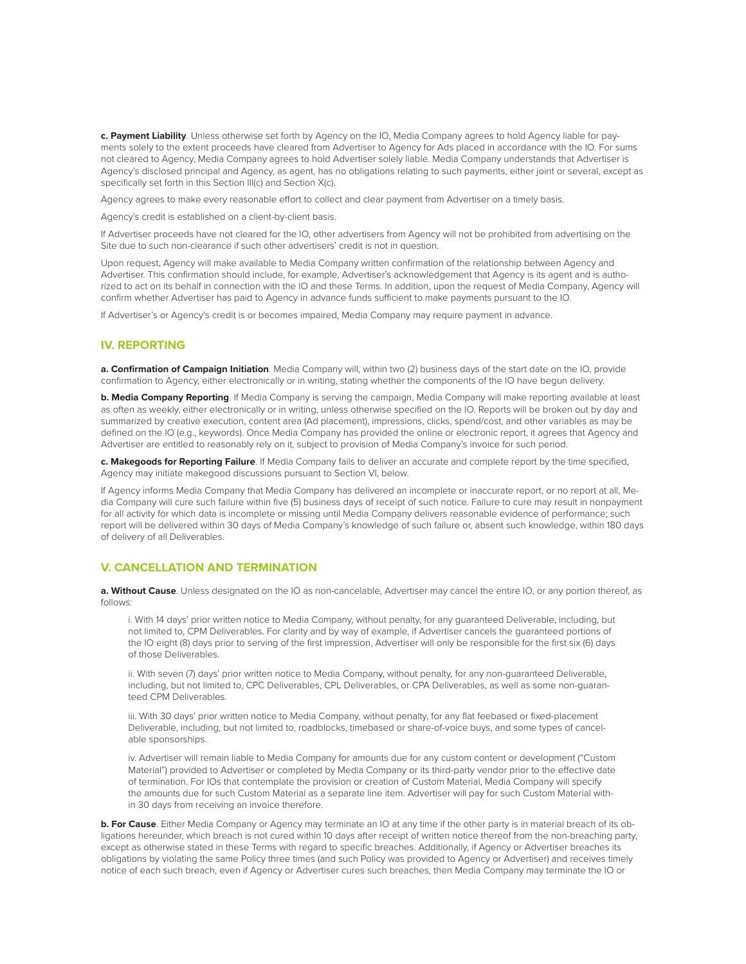**c. Payment Liability**. Unless otherwise set forth by Agency on the IO, Media Company agrees to hold Agency liable for payments solely to the extent proceeds have cleared from Advertiser to Agency for Ads placed in accordance with the IO. For sums not cleared to Agency, Media Company agrees to hold Advertiser solely liable. Media Company understands that Advertiser is Agency's disclosed principal and Agency, as agent, has no obligations relating to such payments, either joint or several, except as specifically set forth in this Section III(c) and Section X(c).

Agency agrees to make every reasonable effort to collect and clear payment from Advertiser on a timely basis.

Agency's credit is established on a client-by-client basis.

If Advertiser proceeds have not cleared for the IO, other advertisers from Agency will not be prohibited from advertising on the Site due to such non-clearance if such other advertisers' credit is not in question.

Upon request, Agency will make available to Media Company written confirmation of the relationship between Agency and Advertiser. This confirmation should include, for example, Advertiser's acknowledgement that Agency is its agent and is authorized to act on its behalf in connection with the IO and these Terms. In addition, upon the request of Media Company, Agency will confirm whether Advertiser has paid to Agency in advance funds sufficient to make payments pursuant to the IO.

If Advertiser's or Agency's credit is or becomes impaired, Media Company may require payment in advance.

## **IV. REPORTING**

**a. Confirmation of Campaign Initiation**. Media Company will, within two (2) business days of the start date on the IO, provide confirmation to Agency, either electronically or in writing, stating whether the components of the IO have begun delivery.

**b. Media Company Reporting**. If Media Company is serving the campaign, Media Company will make reporting available at least as often as weekly, either electronically or in writing, unless otherwise specified on the IO. Reports will be broken out by day and summarized by creative execution, content area (Ad placement), impressions, clicks, spend/cost, and other variables as may be defined on the IO (e.g., keywords). Once Media Company has provided the online or electronic report, it agrees that Agency and Advertiser are entitled to reasonably rely on it, subject to provision of Media Company's invoice for such period.

**c. Makegoods for Reporting Failure**. If Media Company fails to deliver an accurate and complete report by the time specified, Agency may initiate makegood discussions pursuant to Section VI, below.

If Agency informs Media Company that Media Company has delivered an incomplete or inaccurate report, or no report at all, Media Company will cure such failure within five (5) business days of receipt of such notice. Failure to cure may result in nonpayment for all activity for which data is incomplete or missing until Media Company delivers reasonable evidence of performance; such report will be delivered within 30 days of Media Company's knowledge of such failure or, absent such knowledge, within 180 days of delivery of all Deliverables.

## **V. CANCELLATION AND TERMINATION**

**a. Without Cause**. Unless designated on the IO as non-cancelable, Advertiser may cancel the entire IO, or any portion thereof, as follows:

i. With 14 days' prior written notice to Media Company, without penalty, for any guaranteed Deliverable, including, but not limited to, CPM Deliverables. For clarity and by way of example, if Advertiser cancels the guaranteed portions of the IO eight (8) days prior to serving of the first impression, Advertiser will only be responsible for the first six (6) days of those Deliverables.

ii. With seven (7) days' prior written notice to Media Company, without penalty, for any non-guaranteed Deliverable, including, but not limited to, CPC Deliverables, CPL Deliverables, or CPA Deliverables, as well as some non-guaranteed CPM Deliverables.

iii. With 30 days' prior written notice to Media Company, without penalty, for any flat feebased or fixed-placement Deliverable, including, but not limited to, roadblocks, timebased or share-of-voice buys, and some types of cancelable sponsorships.

iv. Advertiser will remain liable to Media Company for amounts due for any custom content or development ("Custom Material") provided to Advertiser or completed by Media Company or its third-party vendor prior to the effective date of termination. For IOs that contemplate the provision or creation of Custom Material, Media Company will specify the amounts due for such Custom Material as a separate line item. Advertiser will pay for such Custom Material within 30 days from receiving an invoice therefore.

**b. For Cause**. Either Media Company or Agency may terminate an IO at any time if the other party is in material breach of its obligations hereunder, which breach is not cured within 10 days after receipt of written notice thereof from the non-breaching party, except as otherwise stated in these Terms with regard to specific breaches. Additionally, if Agency or Advertiser breaches its obligations by violating the same Policy three times (and such Policy was provided to Agency or Advertiser) and receives timely notice of each such breach, even if Agency or Advertiser cures such breaches, then Media Company may terminate the IO or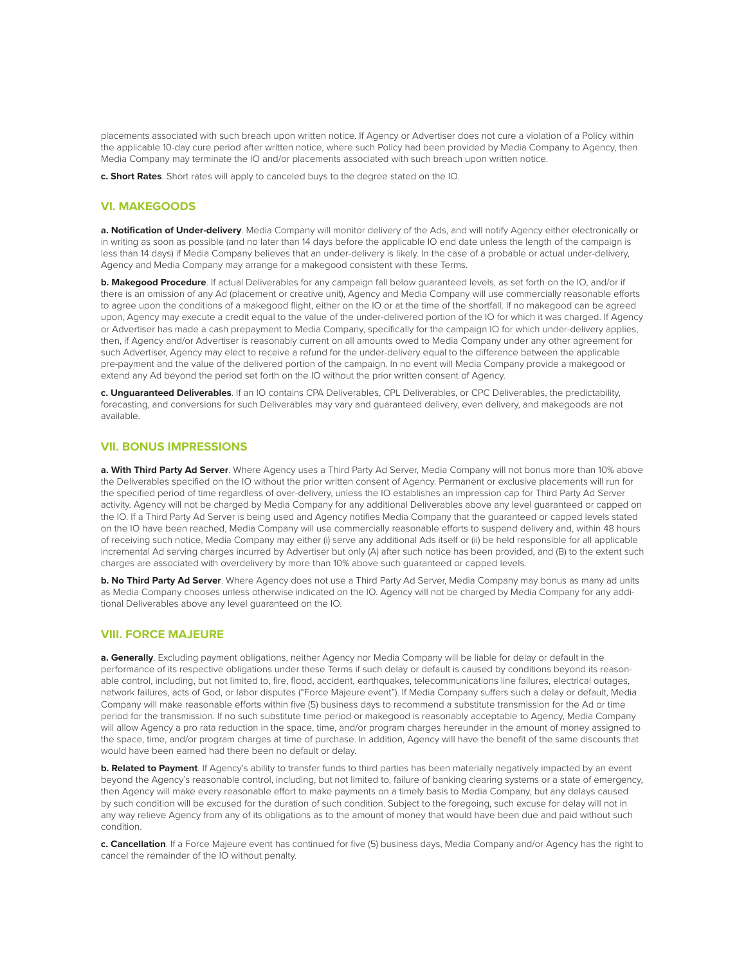placements associated with such breach upon written notice. If Agency or Advertiser does not cure a violation of a Policy within the applicable 10-day cure period after written notice, where such Policy had been provided by Media Company to Agency, then Media Company may terminate the IO and/or placements associated with such breach upon written notice.

**c. Short Rates**. Short rates will apply to canceled buys to the degree stated on the IO.

## **VI. MAKEGOODS**

**a. Notification of Under-delivery**. Media Company will monitor delivery of the Ads, and will notify Agency either electronically or in writing as soon as possible (and no later than 14 days before the applicable IO end date unless the length of the campaign is less than 14 days) if Media Company believes that an under-delivery is likely. In the case of a probable or actual under-delivery, Agency and Media Company may arrange for a makegood consistent with these Terms.

**b. Makegood Procedure**. If actual Deliverables for any campaign fall below guaranteed levels, as set forth on the IO, and/or if there is an omission of any Ad (placement or creative unit), Agency and Media Company will use commercially reasonable efforts to agree upon the conditions of a makegood flight, either on the IO or at the time of the shortfall. If no makegood can be agreed upon, Agency may execute a credit equal to the value of the under-delivered portion of the IO for which it was charged. If Agency or Advertiser has made a cash prepayment to Media Company, specifically for the campaign IO for which under-delivery applies, then, if Agency and/or Advertiser is reasonably current on all amounts owed to Media Company under any other agreement for such Advertiser, Agency may elect to receive a refund for the under-delivery equal to the difference between the applicable pre-payment and the value of the delivered portion of the campaign. In no event will Media Company provide a makegood or extend any Ad beyond the period set forth on the IO without the prior written consent of Agency.

**c. Unguaranteed Deliverables**. If an IO contains CPA Deliverables, CPL Deliverables, or CPC Deliverables, the predictability, forecasting, and conversions for such Deliverables may vary and guaranteed delivery, even delivery, and makegoods are not available.

#### **VII. BONUS IMPRESSIONS**

**a. With Third Party Ad Server**. Where Agency uses a Third Party Ad Server, Media Company will not bonus more than 10% above the Deliverables specified on the IO without the prior written consent of Agency. Permanent or exclusive placements will run for the specified period of time regardless of over-delivery, unless the IO establishes an impression cap for Third Party Ad Server activity. Agency will not be charged by Media Company for any additional Deliverables above any level guaranteed or capped on the IO. If a Third Party Ad Server is being used and Agency notifies Media Company that the guaranteed or capped levels stated on the IO have been reached, Media Company will use commercially reasonable efforts to suspend delivery and, within 48 hours of receiving such notice, Media Company may either (i) serve any additional Ads itself or (ii) be held responsible for all applicable incremental Ad serving charges incurred by Advertiser but only (A) after such notice has been provided, and (B) to the extent such charges are associated with overdelivery by more than 10% above such guaranteed or capped levels.

**b. No Third Party Ad Server**. Where Agency does not use a Third Party Ad Server, Media Company may bonus as many ad units as Media Company chooses unless otherwise indicated on the IO. Agency will not be charged by Media Company for any additional Deliverables above any level guaranteed on the IO.

#### **VIII. FORCE MAJEURE**

**a. Generally**. Excluding payment obligations, neither Agency nor Media Company will be liable for delay or default in the performance of its respective obligations under these Terms if such delay or default is caused by conditions beyond its reasonable control, including, but not limited to, fire, flood, accident, earthquakes, telecommunications line failures, electrical outages, network failures, acts of God, or labor disputes ("Force Majeure event"). If Media Company suffers such a delay or default, Media Company will make reasonable efforts within five (5) business days to recommend a substitute transmission for the Ad or time period for the transmission. If no such substitute time period or makegood is reasonably acceptable to Agency, Media Company will allow Agency a pro rata reduction in the space, time, and/or program charges hereunder in the amount of money assigned to the space, time, and/or program charges at time of purchase. In addition, Agency will have the benefit of the same discounts that would have been earned had there been no default or delay.

**b. Related to Payment**. If Agency's ability to transfer funds to third parties has been materially negatively impacted by an event beyond the Agency's reasonable control, including, but not limited to, failure of banking clearing systems or a state of emergency, then Agency will make every reasonable effort to make payments on a timely basis to Media Company, but any delays caused by such condition will be excused for the duration of such condition. Subject to the foregoing, such excuse for delay will not in any way relieve Agency from any of its obligations as to the amount of money that would have been due and paid without such condition.

**c. Cancellation**. If a Force Majeure event has continued for five (5) business days, Media Company and/or Agency has the right to cancel the remainder of the IO without penalty.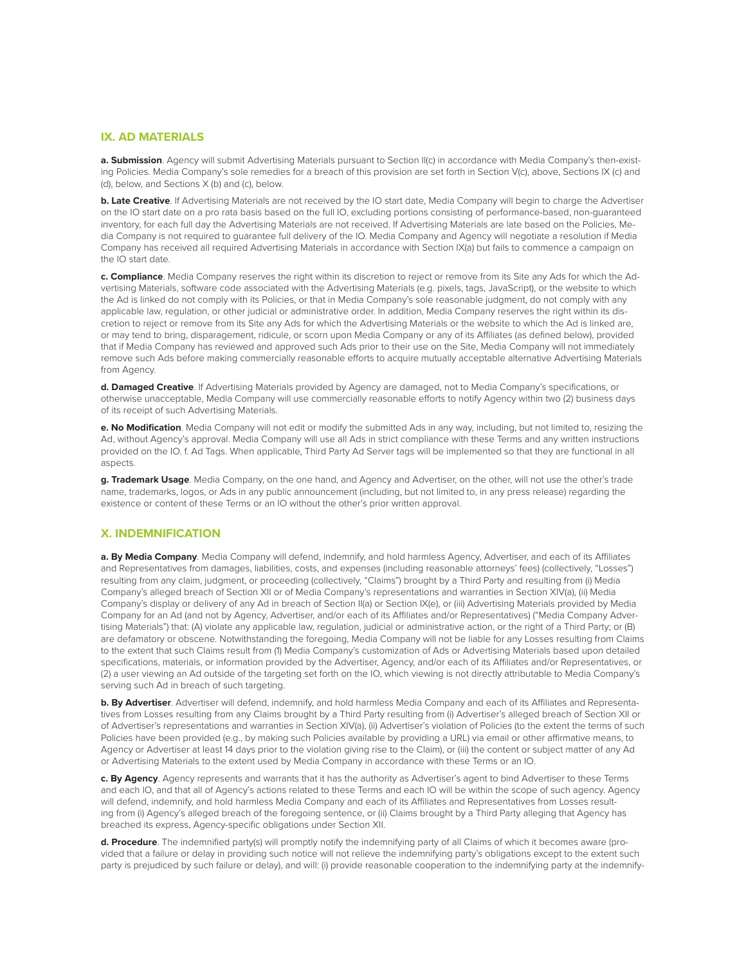## **IX. AD MATERIALS**

a. Submission. Agency will submit Advertising Materials pursuant to Section II(c) in accordance with Media Company's then-existing Policies. Media Company's sole remedies for a breach of this provision are set forth in Section V(c), above, Sections IX (c) and (d), below, and Sections X (b) and (c), below.

**b. Late Creative**. If Advertising Materials are not received by the IO start date, Media Company will begin to charge the Advertiser on the IO start date on a pro rata basis based on the full IO, excluding portions consisting of performance-based, non-guaranteed inventory, for each full day the Advertising Materials are not received. If Advertising Materials are late based on the Policies, Media Company is not required to guarantee full delivery of the IO. Media Company and Agency will negotiate a resolution if Media Company has received all required Advertising Materials in accordance with Section IX(a) but fails to commence a campaign on the IO start date.

**c. Compliance**. Media Company reserves the right within its discretion to reject or remove from its Site any Ads for which the Advertising Materials, software code associated with the Advertising Materials (e.g. pixels, tags, JavaScript), or the website to which the Ad is linked do not comply with its Policies, or that in Media Company's sole reasonable judgment, do not comply with any applicable law, regulation, or other judicial or administrative order. In addition, Media Company reserves the right within its discretion to reject or remove from its Site any Ads for which the Advertising Materials or the website to which the Ad is linked are, or may tend to bring, disparagement, ridicule, or scorn upon Media Company or any of its Affiliates (as defined below), provided that if Media Company has reviewed and approved such Ads prior to their use on the Site, Media Company will not immediately remove such Ads before making commercially reasonable efforts to acquire mutually acceptable alternative Advertising Materials from Agency.

**d. Damaged Creative**. If Advertising Materials provided by Agency are damaged, not to Media Company's specifications, or otherwise unacceptable, Media Company will use commercially reasonable efforts to notify Agency within two (2) business days of its receipt of such Advertising Materials.

**e. No Modification**. Media Company will not edit or modify the submitted Ads in any way, including, but not limited to, resizing the Ad, without Agency's approval. Media Company will use all Ads in strict compliance with these Terms and any written instructions provided on the IO. f. Ad Tags. When applicable, Third Party Ad Server tags will be implemented so that they are functional in all aspects.

**g. Trademark Usage**. Media Company, on the one hand, and Agency and Advertiser, on the other, will not use the other's trade name, trademarks, logos, or Ads in any public announcement (including, but not limited to, in any press release) regarding the existence or content of these Terms or an IO without the other's prior written approval.

### **X. INDEMNIFICATION**

**a. By Media Company**. Media Company will defend, indemnify, and hold harmless Agency, Advertiser, and each of its Affiliates and Representatives from damages, liabilities, costs, and expenses (including reasonable attorneys' fees) (collectively, "Losses") resulting from any claim, judgment, or proceeding (collectively, "Claims") brought by a Third Party and resulting from (i) Media Company's alleged breach of Section XII or of Media Company's representations and warranties in Section XIV(a), (ii) Media Company's display or delivery of any Ad in breach of Section II(a) or Section IX(e), or (iii) Advertising Materials provided by Media Company for an Ad (and not by Agency, Advertiser, and/or each of its Affiliates and/or Representatives) ("Media Company Advertising Materials") that: (A) violate any applicable law, regulation, judicial or administrative action, or the right of a Third Party; or (B) are defamatory or obscene. Notwithstanding the foregoing, Media Company will not be liable for any Losses resulting from Claims to the extent that such Claims result from (1) Media Company's customization of Ads or Advertising Materials based upon detailed specifications, materials, or information provided by the Advertiser, Agency, and/or each of its Affiliates and/or Representatives, or (2) a user viewing an Ad outside of the targeting set forth on the IO, which viewing is not directly attributable to Media Company's serving such Ad in breach of such targeting.

**b. By Advertiser**. Advertiser will defend, indemnify, and hold harmless Media Company and each of its Affiliates and Representatives from Losses resulting from any Claims brought by a Third Party resulting from (i) Advertiser's alleged breach of Section XII or of Advertiser's representations and warranties in Section XIV(a), (ii) Advertiser's violation of Policies (to the extent the terms of such Policies have been provided (e.g., by making such Policies available by providing a URL) via email or other affirmative means, to Agency or Advertiser at least 14 days prior to the violation giving rise to the Claim), or (iii) the content or subject matter of any Ad or Advertising Materials to the extent used by Media Company in accordance with these Terms or an IO.

**c. By Agency**. Agency represents and warrants that it has the authority as Advertiser's agent to bind Advertiser to these Terms and each IO, and that all of Agency's actions related to these Terms and each IO will be within the scope of such agency. Agency will defend, indemnify, and hold harmless Media Company and each of its Affiliates and Representatives from Losses resulting from (i) Agency's alleged breach of the foregoing sentence, or (ii) Claims brought by a Third Party alleging that Agency has breached its express, Agency-specific obligations under Section XII.

**d. Procedure**. The indemnified party(s) will promptly notify the indemnifying party of all Claims of which it becomes aware (provided that a failure or delay in providing such notice will not relieve the indemnifying party's obligations except to the extent such party is prejudiced by such failure or delay), and will: (i) provide reasonable cooperation to the indemnifying party at the indemnify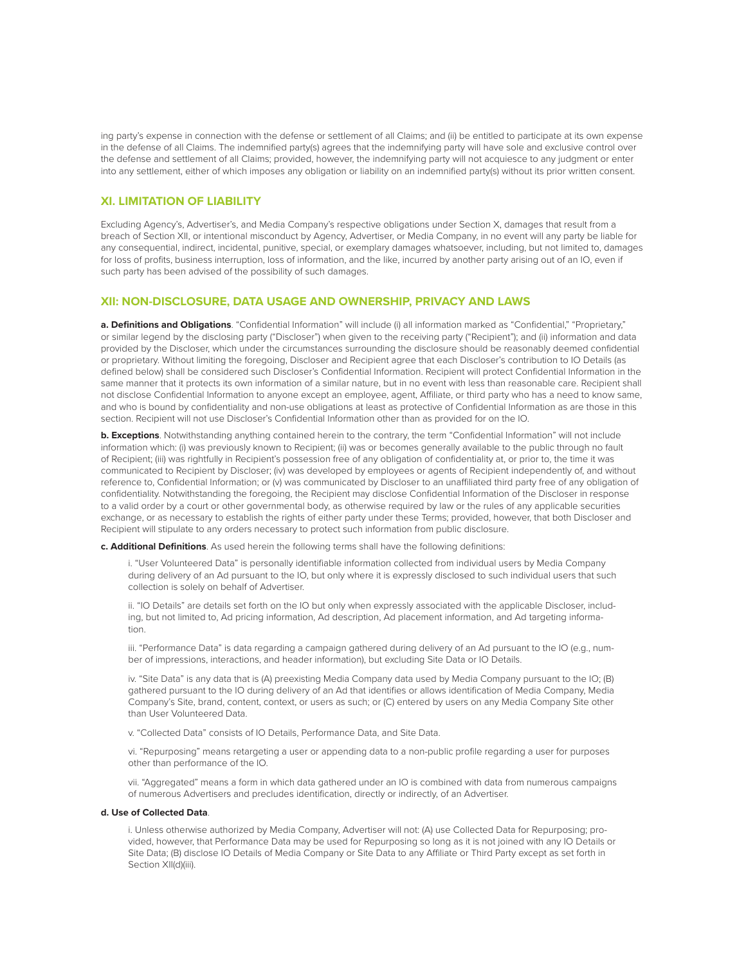ing party's expense in connection with the defense or settlement of all Claims; and (ii) be entitled to participate at its own expense in the defense of all Claims. The indemnified party(s) agrees that the indemnifying party will have sole and exclusive control over the defense and settlement of all Claims; provided, however, the indemnifying party will not acquiesce to any judgment or enter into any settlement, either of which imposes any obligation or liability on an indemnified party(s) without its prior written consent.

# **XI. LIMITATION OF LIABILITY**

Excluding Agency's, Advertiser's, and Media Company's respective obligations under Section X, damages that result from a breach of Section XII, or intentional misconduct by Agency, Advertiser, or Media Company, in no event will any party be liable for any consequential, indirect, incidental, punitive, special, or exemplary damages whatsoever, including, but not limited to, damages for loss of profits, business interruption, loss of information, and the like, incurred by another party arising out of an IO, even if such party has been advised of the possibility of such damages.

## **XII: NON-DISCLOSURE, DATA USAGE AND OWNERSHIP, PRIVACY AND LAWS**

**a. Definitions and Obligations**. "Confidential Information" will include (i) all information marked as "Confidential," "Proprietary," or similar legend by the disclosing party ("Discloser") when given to the receiving party ("Recipient"); and (ii) information and data provided by the Discloser, which under the circumstances surrounding the disclosure should be reasonably deemed confidential or proprietary. Without limiting the foregoing, Discloser and Recipient agree that each Discloser's contribution to IO Details (as defined below) shall be considered such Discloser's Confidential Information. Recipient will protect Confidential Information in the same manner that it protects its own information of a similar nature, but in no event with less than reasonable care. Recipient shall not disclose Confidential Information to anyone except an employee, agent, Affiliate, or third party who has a need to know same, and who is bound by confidentiality and non-use obligations at least as protective of Confidential Information as are those in this section. Recipient will not use Discloser's Confidential Information other than as provided for on the IO.

**b. Exceptions**. Notwithstanding anything contained herein to the contrary, the term "Confidential Information" will not include information which: (i) was previously known to Recipient; (ii) was or becomes generally available to the public through no fault of Recipient; (iii) was rightfully in Recipient's possession free of any obligation of confidentiality at, or prior to, the time it was communicated to Recipient by Discloser; (iv) was developed by employees or agents of Recipient independently of, and without reference to, Confidential Information; or (v) was communicated by Discloser to an unaffiliated third party free of any obligation of confidentiality. Notwithstanding the foregoing, the Recipient may disclose Confidential Information of the Discloser in response to a valid order by a court or other governmental body, as otherwise required by law or the rules of any applicable securities exchange, or as necessary to establish the rights of either party under these Terms; provided, however, that both Discloser and Recipient will stipulate to any orders necessary to protect such information from public disclosure.

**c. Additional Definitions**. As used herein the following terms shall have the following definitions:

i. "User Volunteered Data" is personally identifiable information collected from individual users by Media Company during delivery of an Ad pursuant to the IO, but only where it is expressly disclosed to such individual users that such collection is solely on behalf of Advertiser.

ii. "IO Details" are details set forth on the IO but only when expressly associated with the applicable Discloser, including, but not limited to, Ad pricing information, Ad description, Ad placement information, and Ad targeting information.

iii. "Performance Data" is data regarding a campaign gathered during delivery of an Ad pursuant to the IO (e.g., number of impressions, interactions, and header information), but excluding Site Data or IO Details.

iv. "Site Data" is any data that is (A) preexisting Media Company data used by Media Company pursuant to the IO; (B) gathered pursuant to the IO during delivery of an Ad that identifies or allows identification of Media Company, Media Company's Site, brand, content, context, or users as such; or (C) entered by users on any Media Company Site other than User Volunteered Data.

v. "Collected Data" consists of IO Details, Performance Data, and Site Data.

vi. "Repurposing" means retargeting a user or appending data to a non-public profile regarding a user for purposes other than performance of the IO.

vii. "Aggregated" means a form in which data gathered under an IO is combined with data from numerous campaigns of numerous Advertisers and precludes identification, directly or indirectly, of an Advertiser.

#### **d. Use of Collected Data**.

i. Unless otherwise authorized by Media Company, Advertiser will not: (A) use Collected Data for Repurposing; provided, however, that Performance Data may be used for Repurposing so long as it is not joined with any IO Details or Site Data; (B) disclose IO Details of Media Company or Site Data to any Affiliate or Third Party except as set forth in Section XII(d)(iii).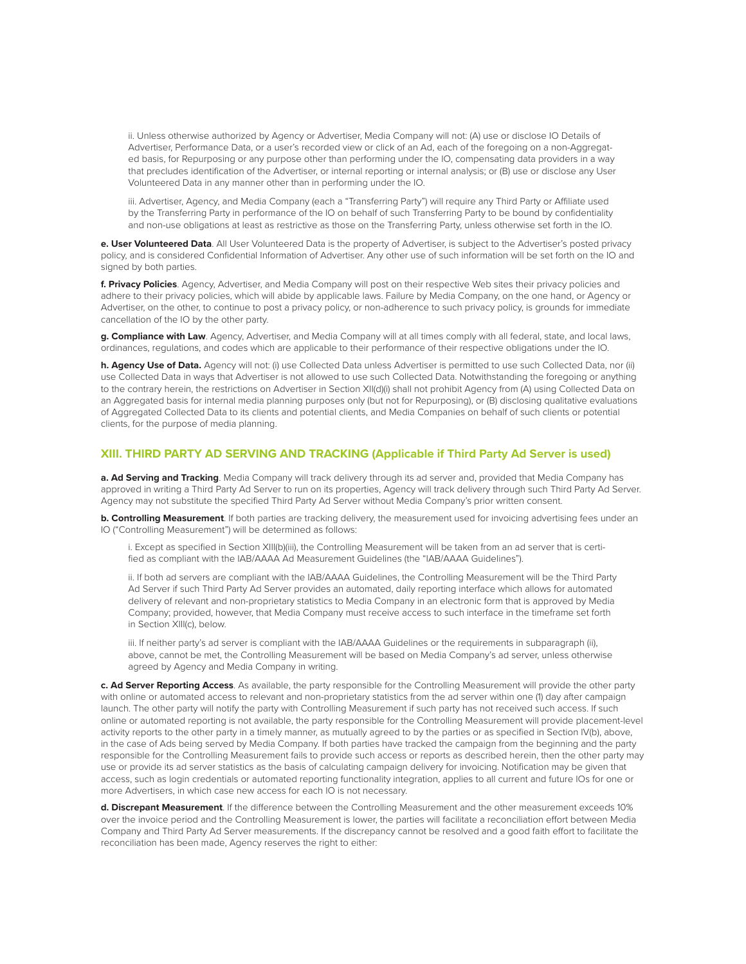ii. Unless otherwise authorized by Agency or Advertiser, Media Company will not: (A) use or disclose IO Details of Advertiser, Performance Data, or a user's recorded view or click of an Ad, each of the foregoing on a non-Aggregated basis, for Repurposing or any purpose other than performing under the IO, compensating data providers in a way that precludes identification of the Advertiser, or internal reporting or internal analysis; or (B) use or disclose any User Volunteered Data in any manner other than in performing under the IO.

iii. Advertiser, Agency, and Media Company (each a "Transferring Party") will require any Third Party or Affiliate used by the Transferring Party in performance of the IO on behalf of such Transferring Party to be bound by confidentiality and non-use obligations at least as restrictive as those on the Transferring Party, unless otherwise set forth in the IO.

**e. User Volunteered Data**. All User Volunteered Data is the property of Advertiser, is subject to the Advertiser's posted privacy policy, and is considered Confidential Information of Advertiser. Any other use of such information will be set forth on the IO and signed by both parties.

**f. Privacy Policies**. Agency, Advertiser, and Media Company will post on their respective Web sites their privacy policies and adhere to their privacy policies, which will abide by applicable laws. Failure by Media Company, on the one hand, or Agency or Advertiser, on the other, to continue to post a privacy policy, or non-adherence to such privacy policy, is grounds for immediate cancellation of the IO by the other party.

**g. Compliance with Law**. Agency, Advertiser, and Media Company will at all times comply with all federal, state, and local laws, ordinances, regulations, and codes which are applicable to their performance of their respective obligations under the IO.

**h. Agency Use of Data.** Agency will not: (i) use Collected Data unless Advertiser is permitted to use such Collected Data, nor (ii) use Collected Data in ways that Advertiser is not allowed to use such Collected Data. Notwithstanding the foregoing or anything to the contrary herein, the restrictions on Advertiser in Section XII(d)(i) shall not prohibit Agency from (A) using Collected Data on an Aggregated basis for internal media planning purposes only (but not for Repurposing), or (B) disclosing qualitative evaluations of Aggregated Collected Data to its clients and potential clients, and Media Companies on behalf of such clients or potential clients, for the purpose of media planning.

# **XIII. THIRD PARTY AD SERVING AND TRACKING (Applicable if Third Party Ad Server is used)**

**a. Ad Serving and Tracking**. Media Company will track delivery through its ad server and, provided that Media Company has approved in writing a Third Party Ad Server to run on its properties, Agency will track delivery through such Third Party Ad Server. Agency may not substitute the specified Third Party Ad Server without Media Company's prior written consent.

**b. Controlling Measurement**. If both parties are tracking delivery, the measurement used for invoicing advertising fees under an IO ("Controlling Measurement") will be determined as follows:

i. Except as specified in Section XIII(b)(iii), the Controlling Measurement will be taken from an ad server that is certified as compliant with the IAB/AAAA Ad Measurement Guidelines (the "IAB/AAAA Guidelines").

ii. If both ad servers are compliant with the IAB/AAAA Guidelines, the Controlling Measurement will be the Third Party Ad Server if such Third Party Ad Server provides an automated, daily reporting interface which allows for automated delivery of relevant and non-proprietary statistics to Media Company in an electronic form that is approved by Media Company; provided, however, that Media Company must receive access to such interface in the timeframe set forth in Section XIII(c), below.

iii. If neither party's ad server is compliant with the IAB/AAAA Guidelines or the requirements in subparagraph (ii), above, cannot be met, the Controlling Measurement will be based on Media Company's ad server, unless otherwise agreed by Agency and Media Company in writing.

**c. Ad Server Reporting Access**. As available, the party responsible for the Controlling Measurement will provide the other party with online or automated access to relevant and non-proprietary statistics from the ad server within one (1) day after campaign launch. The other party will notify the party with Controlling Measurement if such party has not received such access. If such online or automated reporting is not available, the party responsible for the Controlling Measurement will provide placement-level activity reports to the other party in a timely manner, as mutually agreed to by the parties or as specified in Section IV(b), above, in the case of Ads being served by Media Company. If both parties have tracked the campaign from the beginning and the party responsible for the Controlling Measurement fails to provide such access or reports as described herein, then the other party may use or provide its ad server statistics as the basis of calculating campaign delivery for invoicing. Notification may be given that access, such as login credentials or automated reporting functionality integration, applies to all current and future IOs for one or more Advertisers, in which case new access for each IO is not necessary.

**d. Discrepant Measurement**. If the difference between the Controlling Measurement and the other measurement exceeds 10% over the invoice period and the Controlling Measurement is lower, the parties will facilitate a reconciliation effort between Media Company and Third Party Ad Server measurements. If the discrepancy cannot be resolved and a good faith effort to facilitate the reconciliation has been made, Agency reserves the right to either: